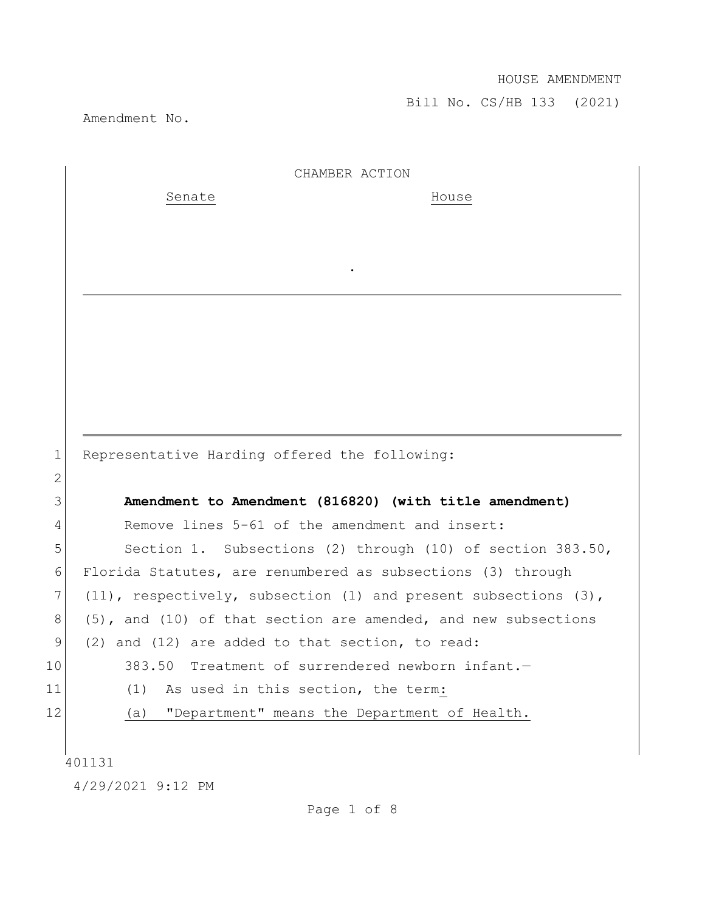Amendment No.

|                 | CHAMBER ACTION                                                          |
|-----------------|-------------------------------------------------------------------------|
|                 | Senate<br>House                                                         |
|                 |                                                                         |
|                 |                                                                         |
|                 |                                                                         |
|                 |                                                                         |
|                 |                                                                         |
|                 |                                                                         |
|                 |                                                                         |
|                 |                                                                         |
|                 |                                                                         |
| $\mathbf 1$     | Representative Harding offered the following:                           |
| $\mathbf{2}$    |                                                                         |
| 3               | Amendment to Amendment (816820) (with title amendment)                  |
| 4               | Remove lines 5-61 of the amendment and insert:                          |
| 5               | Section 1. Subsections (2) through (10) of section 383.50,              |
| 6               | Florida Statutes, are renumbered as subsections (3) through             |
| 7               | $(11)$ , respectively, subsection $(1)$ and present subsections $(3)$ , |
| 8               | $(5)$ , and $(10)$ of that section are amended, and new subsections     |
| 9               | (2) and (12) are added to that section, to read:                        |
| 10 <sub>o</sub> | 383.50 Treatment of surrendered newborn infant.-                        |
| 11              | As used in this section, the term:<br>(1)                               |
| 12              | "Department" means the Department of Health.<br>(a)                     |
|                 |                                                                         |
|                 | 401131                                                                  |
|                 | 4/29/2021 9:12 PM                                                       |

Page 1 of 8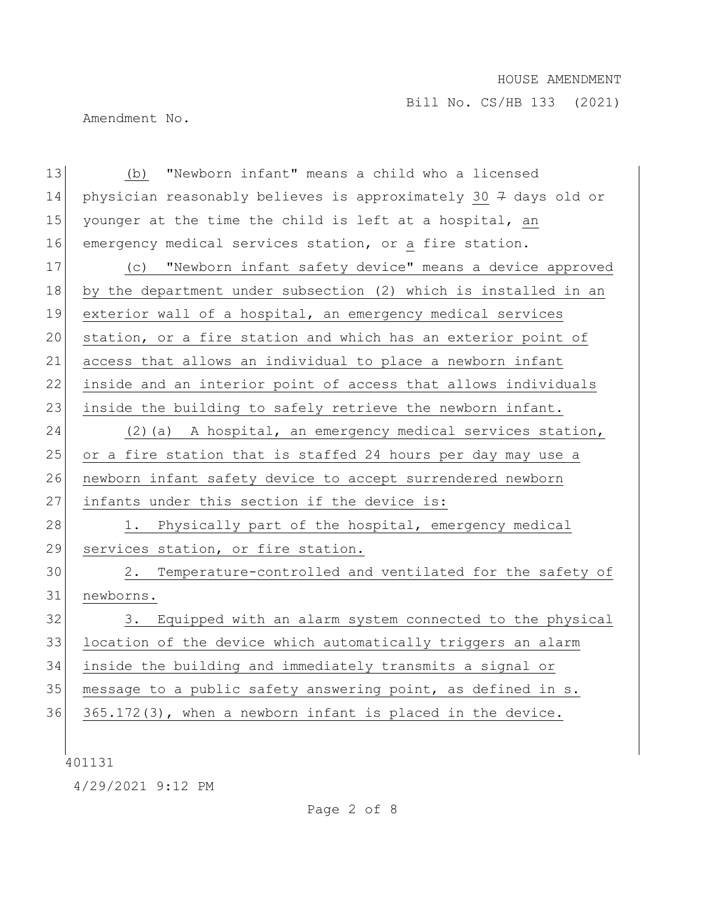Bill No. CS/HB 133 (2021)

Amendment No.

13 (b) "Newborn infant" means a child who a licensed 14 physician reasonably believes is approximately 30 7 days old or 15 younger at the time the child is left at a hospital, an 16 emergency medical services station, or a fire station. 17 (c) "Newborn infant safety device" means a device approved 18 by the department under subsection (2) which is installed in an 19 exterior wall of a hospital, an emergency medical services 20 station, or a fire station and which has an exterior point of 21 access that allows an individual to place a newborn infant 22 inside and an interior point of access that allows individuals 23 inside the building to safely retrieve the newborn infant. 24 (2)(a) A hospital, an emergency medical services station, 25 or a fire station that is staffed 24 hours per day may use a 26 newborn infant safety device to accept surrendered newborn 27 infants under this section if the device is: 28 1. Physically part of the hospital, emergency medical 29 services station, or fire station. 30 2. Temperature-controlled and ventilated for the safety of 31 newborns. 32 3. Equipped with an alarm system connected to the physical 33 location of the device which automatically triggers an alarm 34 inside the building and immediately transmits a signal or 35 message to a public safety answering point, as defined in s. 36 365.172(3), when a newborn infant is placed in the device.

401131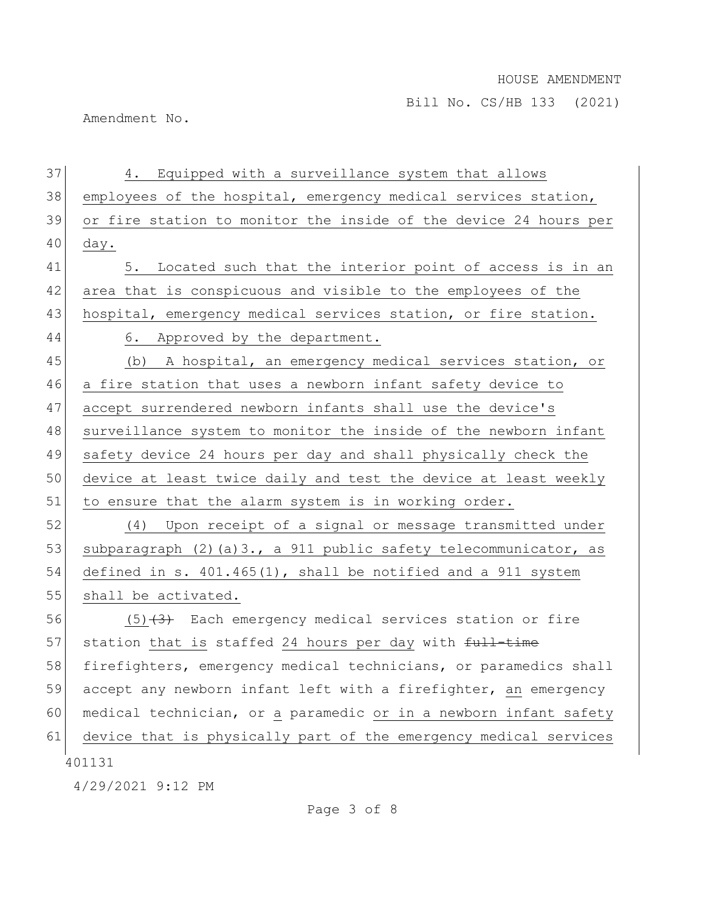Amendment No.

401131 4/29/2021 9:12 PM 37 4. Equipped with a surveillance system that allows 38 employees of the hospital, emergency medical services station, 39 or fire station to monitor the inside of the device 24 hours per  $40$  day. 41 5. Located such that the interior point of access is in an 42 area that is conspicuous and visible to the employees of the 43 hospital, emergency medical services station, or fire station. 44 6. Approved by the department. 45 (b) A hospital, an emergency medical services station, or 46 a fire station that uses a newborn infant safety device to 47 accept surrendered newborn infants shall use the device's 48 surveillance system to monitor the inside of the newborn infant 49 safety device 24 hours per day and shall physically check the 50 device at least twice daily and test the device at least weekly 51 to ensure that the alarm system is in working order. 52 (4) Upon receipt of a signal or message transmitted under 53 subparagraph (2)(a)3., a 911 public safety telecommunicator, as 54 defined in s. 401.465(1), shall be notified and a 911 system 55 shall be activated. 56  $(5)$   $(3)$  Each emergency medical services station or fire 57 station that is staffed 24 hours per day with  $f_{\text{ull}-\text{time}}$ 58 firefighters, emergency medical technicians, or paramedics shall 59 accept any newborn infant left with a firefighter, an emergency 60 medical technician, or a paramedic or in a newborn infant safety 61 device that is physically part of the emergency medical services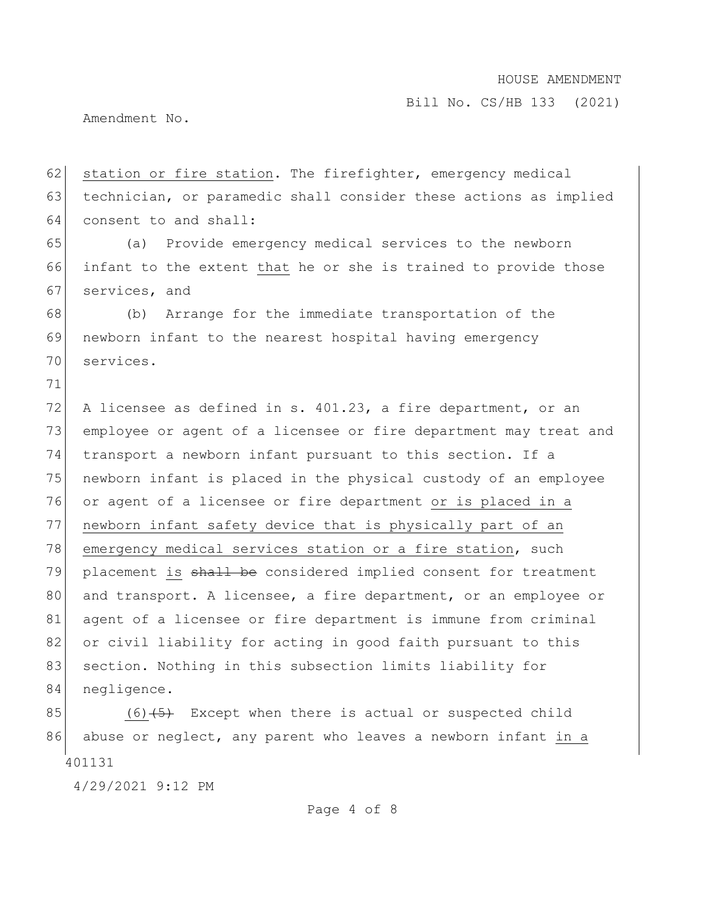Bill No. CS/HB 133 (2021)

Amendment No.

62 station or fire station. The firefighter, emergency medical 63 technician, or paramedic shall consider these actions as implied 64 consent to and shall:

65 (a) Provide emergency medical services to the newborn 66 infant to the extent that he or she is trained to provide those 67 services, and

68 (b) Arrange for the immediate transportation of the 69 newborn infant to the nearest hospital having emergency 70 services.

71

72 A licensee as defined in s. 401.23, a fire department, or an 73 employee or agent of a licensee or fire department may treat and 74 transport a newborn infant pursuant to this section. If a 75 newborn infant is placed in the physical custody of an employee 76 or agent of a licensee or fire department or is placed in a 77 newborn infant safety device that is physically part of an 78 emergency medical services station or a fire station, such 79 placement is shall be considered implied consent for treatment 80 and transport. A licensee, a fire department, or an employee or 81 agent of a licensee or fire department is immune from criminal 82 or civil liability for acting in good faith pursuant to this 83 section. Nothing in this subsection limits liability for 84 negligence.

401131 85  $(6)$   $(5)$  Except when there is actual or suspected child 86 abuse or neglect, any parent who leaves a newborn infant in a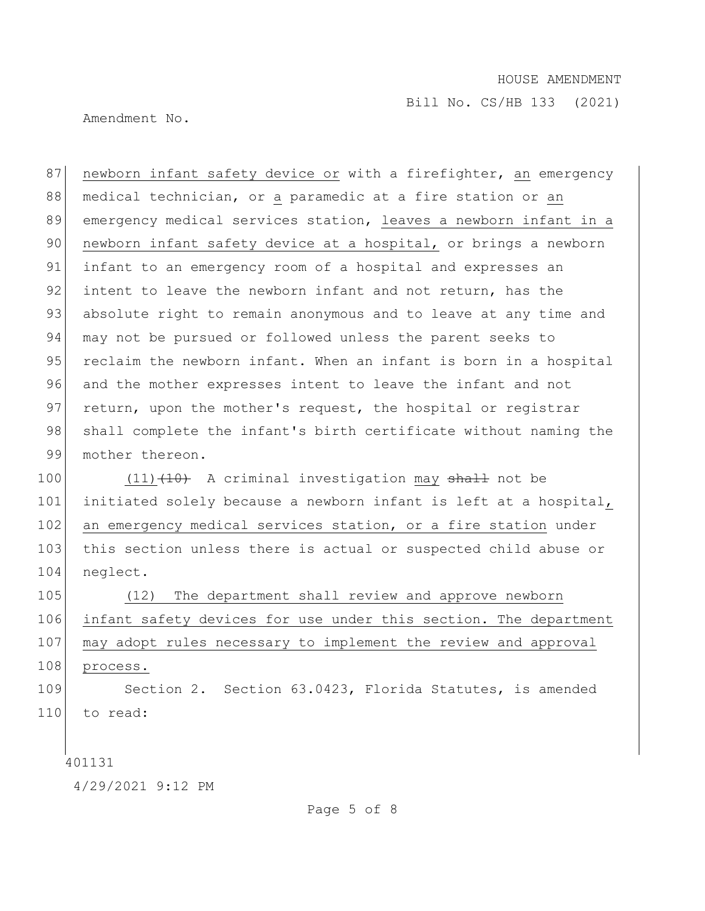Bill No. CS/HB 133 (2021)

Amendment No.

87 | newborn infant safety device or with a firefighter, an emergency 88 medical technician, or a paramedic at a fire station or an 89 emergency medical services station, leaves a newborn infant in a 90 newborn infant safety device at a hospital, or brings a newborn 91 infant to an emergency room of a hospital and expresses an 92 intent to leave the newborn infant and not return, has the 93 absolute right to remain anonymous and to leave at any time and 94 may not be pursued or followed unless the parent seeks to 95 reclaim the newborn infant. When an infant is born in a hospital 96 and the mother expresses intent to leave the infant and not 97 return, upon the mother's request, the hospital or registrar 98 shall complete the infant's birth certificate without naming the 99 mother thereon.

100 (11) (10) A criminal investigation may shall not be 101 initiated solely because a newborn infant is left at a hospital, 102 an emergency medical services station, or a fire station under 103 this section unless there is actual or suspected child abuse or 104 neglect.

 (12) The department shall review and approve newborn infant safety devices for use under this section. The department may adopt rules necessary to implement the review and approval 108 process.

109 Section 2. Section 63.0423, Florida Statutes, is amended 110 to read:

401131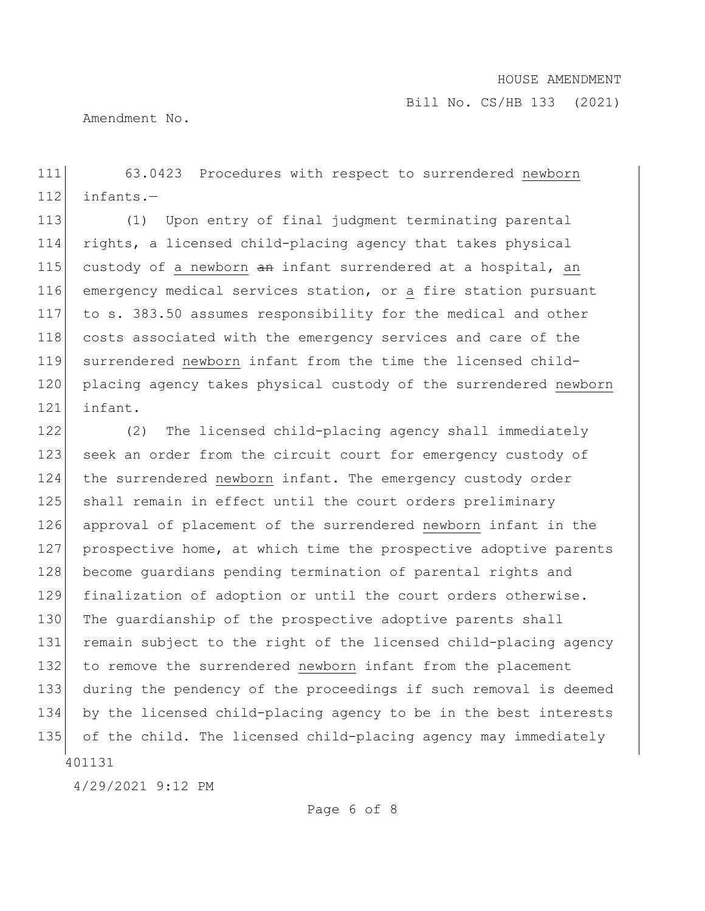Bill No. CS/HB 133 (2021)

Amendment No.

111 63.0423 Procedures with respect to surrendered newborn  $112$  infants.

113 (1) Upon entry of final judgment terminating parental 114 rights, a licensed child-placing agency that takes physical 115 custody of a newborn  $an$  infant surrendered at a hospital, an 116 emergency medical services station, or a fire station pursuant 117 to s. 383.50 assumes responsibility for the medical and other 118 costs associated with the emergency services and care of the 119 surrendered newborn infant from the time the licensed child-120 placing agency takes physical custody of the surrendered newborn 121 infant.

401131 122 (2) The licensed child-placing agency shall immediately 123 seek an order from the circuit court for emergency custody of 124 the surrendered newborn infant. The emergency custody order 125 shall remain in effect until the court orders preliminary 126 approval of placement of the surrendered newborn infant in the 127 prospective home, at which time the prospective adoptive parents 128 become guardians pending termination of parental rights and 129 finalization of adoption or until the court orders otherwise. 130 The quardianship of the prospective adoptive parents shall 131 remain subject to the right of the licensed child-placing agency 132 to remove the surrendered newborn infant from the placement 133 during the pendency of the proceedings if such removal is deemed 134 by the licensed child-placing agency to be in the best interests 135 of the child. The licensed child-placing agency may immediately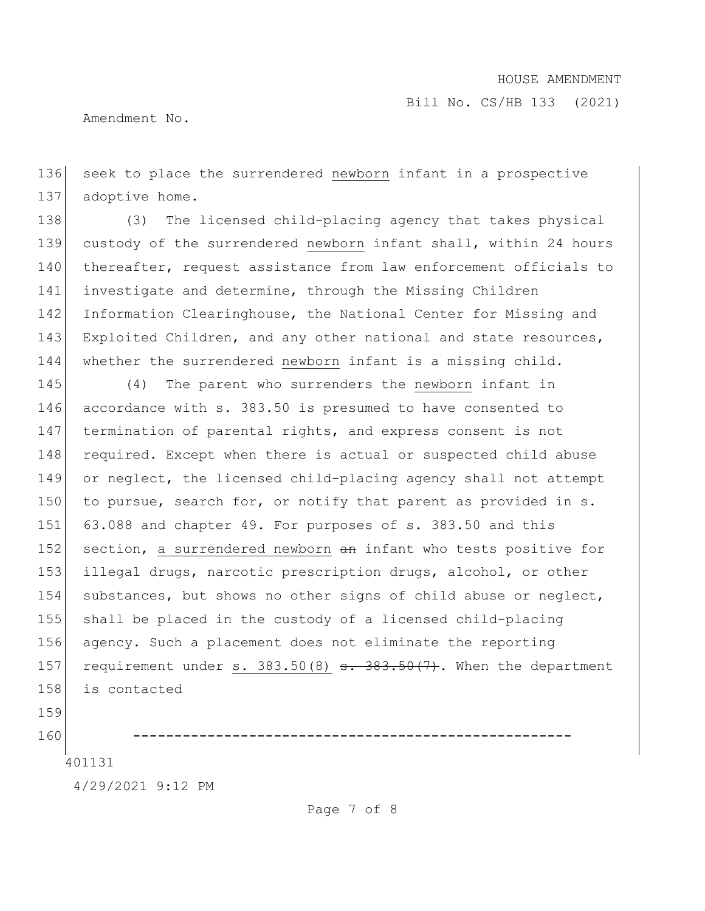Amendment No.

136 seek to place the surrendered newborn infant in a prospective 137 adoptive home.

138 (3) The licensed child-placing agency that takes physical 139 custody of the surrendered newborn infant shall, within 24 hours 140 thereafter, request assistance from law enforcement officials to 141 investigate and determine, through the Missing Children 142 Information Clearinghouse, the National Center for Missing and 143 Exploited Children, and any other national and state resources, 144 whether the surrendered newborn infant is a missing child.

145 (4) The parent who surrenders the newborn infant in 146 accordance with s. 383.50 is presumed to have consented to 147 termination of parental rights, and express consent is not 148 required. Except when there is actual or suspected child abuse 149 or neglect, the licensed child-placing agency shall not attempt 150 to pursue, search for, or notify that parent as provided in  $s$ . 151 63.088 and chapter 49. For purposes of s. 383.50 and this 152 section, a surrendered newborn an infant who tests positive for 153 illegal drugs, narcotic prescription drugs, alcohol, or other 154 substances, but shows no other signs of child abuse or neglect, 155 shall be placed in the custody of a licensed child-placing 156 agency. Such a placement does not eliminate the reporting 157 requirement under s.  $383.50(8)$  s.  $383.50(7)$ . When the department 158 is contacted

159

160 **-----------------------------------------------------**

401131

4/29/2021 9:12 PM

Page 7 of 8